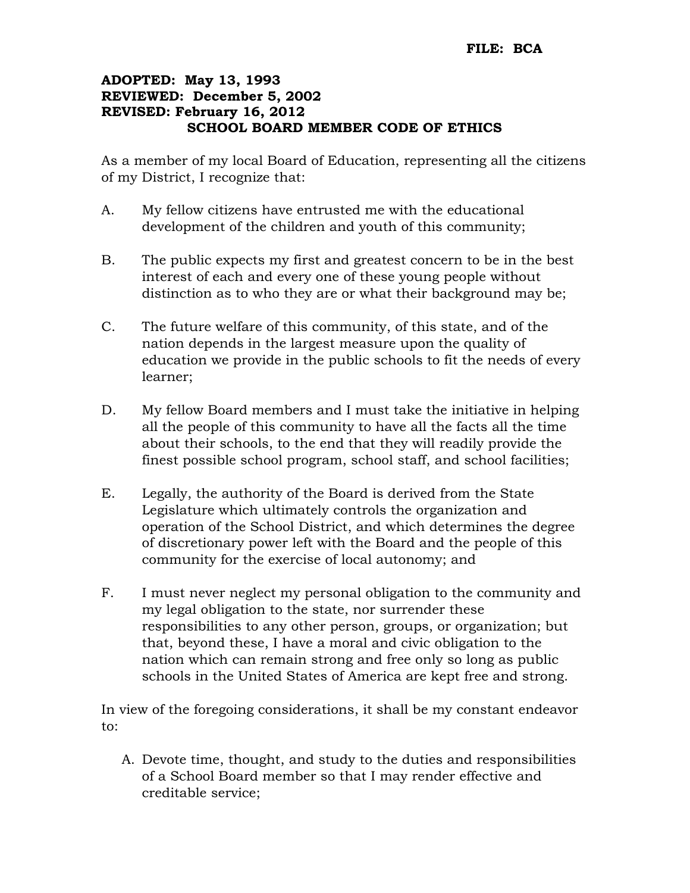## ADOPTED: May 13, 1993 REVIEWED: December 5, 2002 REVISED: February 16, 2012 SCHOOL BOARD MEMBER CODE OF ETHICS

As a member of my local Board of Education, representing all the citizens of my District, I recognize that:

- A. My fellow citizens have entrusted me with the educational development of the children and youth of this community;
- B. The public expects my first and greatest concern to be in the best interest of each and every one of these young people without distinction as to who they are or what their background may be;
- C. The future welfare of this community, of this state, and of the nation depends in the largest measure upon the quality of education we provide in the public schools to fit the needs of every learner;
- D. My fellow Board members and I must take the initiative in helping all the people of this community to have all the facts all the time about their schools, to the end that they will readily provide the finest possible school program, school staff, and school facilities;
- E. Legally, the authority of the Board is derived from the State Legislature which ultimately controls the organization and operation of the School District, and which determines the degree of discretionary power left with the Board and the people of this community for the exercise of local autonomy; and
- F. I must never neglect my personal obligation to the community and my legal obligation to the state, nor surrender these responsibilities to any other person, groups, or organization; but that, beyond these, I have a moral and civic obligation to the nation which can remain strong and free only so long as public schools in the United States of America are kept free and strong.

In view of the foregoing considerations, it shall be my constant endeavor to:

A. Devote time, thought, and study to the duties and responsibilities of a School Board member so that I may render effective and creditable service;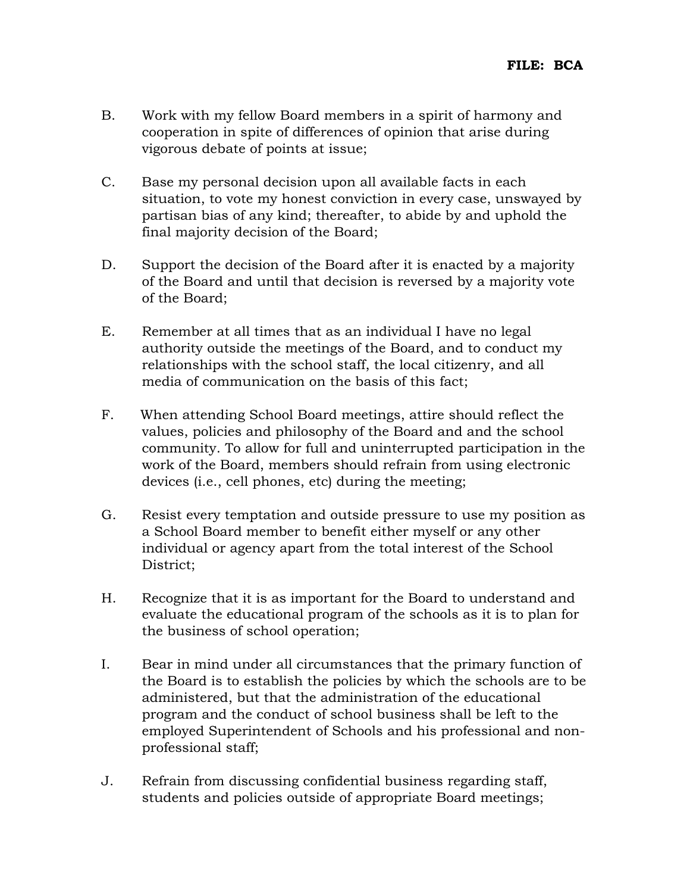- B. Work with my fellow Board members in a spirit of harmony and cooperation in spite of differences of opinion that arise during vigorous debate of points at issue;
- C. Base my personal decision upon all available facts in each situation, to vote my honest conviction in every case, unswayed by partisan bias of any kind; thereafter, to abide by and uphold the final majority decision of the Board;
- D. Support the decision of the Board after it is enacted by a majority of the Board and until that decision is reversed by a majority vote of the Board;
- E. Remember at all times that as an individual I have no legal authority outside the meetings of the Board, and to conduct my relationships with the school staff, the local citizenry, and all media of communication on the basis of this fact;
- F. When attending School Board meetings, attire should reflect the values, policies and philosophy of the Board and and the school community. To allow for full and uninterrupted participation in the work of the Board, members should refrain from using electronic devices (i.e., cell phones, etc) during the meeting;
- G. Resist every temptation and outside pressure to use my position as a School Board member to benefit either myself or any other individual or agency apart from the total interest of the School District;
- H. Recognize that it is as important for the Board to understand and evaluate the educational program of the schools as it is to plan for the business of school operation;
- I. Bear in mind under all circumstances that the primary function of the Board is to establish the policies by which the schools are to be administered, but that the administration of the educational program and the conduct of school business shall be left to the employed Superintendent of Schools and his professional and nonprofessional staff;
- J. Refrain from discussing confidential business regarding staff, students and policies outside of appropriate Board meetings;